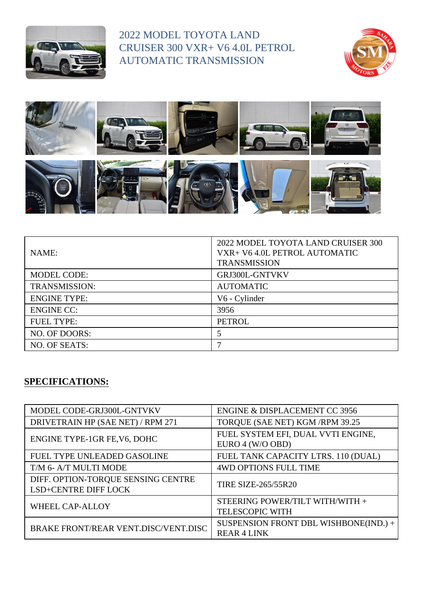

2022 MODEL TOYOTA LAND CRUISER 300 VXR+ V6 4.0L PETROL AUTOMATIC TRANSMISSION





| NAME:                | 2022 MODEL TOYOTA LAND CRUISER 300<br>VXR+ V6 4.0L PETROL AUTOMATIC<br><b>TRANSMISSION</b> |
|----------------------|--------------------------------------------------------------------------------------------|
| <b>MODEL CODE:</b>   | GRJ300L-GNTVKV                                                                             |
| <b>TRANSMISSION:</b> | <b>AUTOMATIC</b>                                                                           |
| <b>ENGINE TYPE:</b>  | V6 - Cylinder                                                                              |
| <b>ENGINE CC:</b>    | 3956                                                                                       |
| <b>FUEL TYPE:</b>    | <b>PETROL</b>                                                                              |
| NO. OF DOORS:        |                                                                                            |
| NO. OF SEATS:        |                                                                                            |

## **SPECIFICATIONS:**

| MODEL CODE-GRJ300L-GNTVKV                                  | <b>ENGINE &amp; DISPLACEMENT CC 3956</b>                    |
|------------------------------------------------------------|-------------------------------------------------------------|
| DRIVETRAIN HP (SAE NET) / RPM 271                          | TORQUE (SAE NET) KGM / RPM 39.25                            |
| ENGINE TYPE-1GR FE, V6, DOHC                               | FUEL SYSTEM EFI, DUAL VVTI ENGINE,<br>EURO 4 (W/O OBD)      |
| FUEL TYPE UNLEADED GASOLINE                                | FUEL TANK CAPACITY LTRS. 110 (DUAL)                         |
| T/M 6- A/T MULTI MODE                                      | <b>4WD OPTIONS FULL TIME</b>                                |
| DIFF. OPTION-TORQUE SENSING CENTRE<br>LSD+CENTRE DIFF LOCK | <b>TIRE SIZE-265/55R20</b>                                  |
| <b>WHEEL CAP-ALLOY</b>                                     | STEERING POWER/TILT WITH/WITH +<br><b>TELESCOPIC WITH</b>   |
| BRAKE FRONT/REAR VENT.DISC/VENT.DISC                       | SUSPENSION FRONT DBL WISHBONE(IND.) +<br><b>REAR 4 LINK</b> |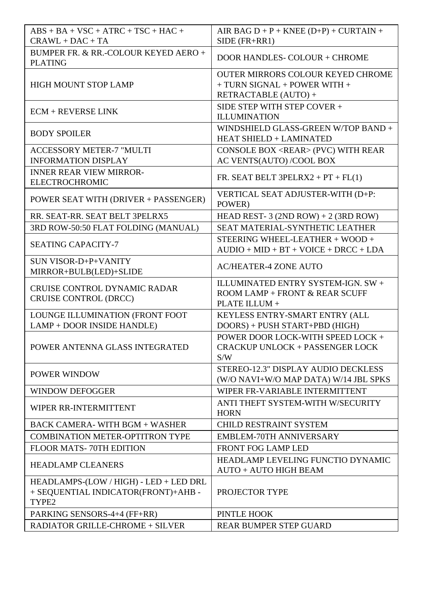| $ABS + BA + VSC + ATRC + TSC + HAC +$<br>$CRAWL + DAC + TA$                            | AIR BAG $D + P +$ KNEE $(D+P) +$ CURTAIN +<br>$SIDE$ ( $FR+RR1$ )                                |
|----------------------------------------------------------------------------------------|--------------------------------------------------------------------------------------------------|
| BUMPER FR. & RR.-COLOUR KEYED AERO +<br><b>PLATING</b>                                 | DOOR HANDLES- COLOUR + CHROME                                                                    |
| <b>HIGH MOUNT STOP LAMP</b>                                                            | <b>OUTER MIRRORS COLOUR KEYED CHROME</b><br>+ TURN SIGNAL + POWER WITH +<br>RETRACTABLE (AUTO) + |
| $ECM + REVERSE LINK$                                                                   | SIDE STEP WITH STEP COVER +<br><b>ILLUMINATION</b>                                               |
| <b>BODY SPOILER</b>                                                                    | WINDSHIELD GLASS-GREEN W/TOP BAND +<br><b>HEAT SHIELD + LAMINATED</b>                            |
| <b>ACCESSORY METER-7 "MULTI</b><br><b>INFORMATION DISPLAY</b>                          | CONSOLE BOX <rear> (PVC) WITH REAR<br/>AC VENTS(AUTO)/COOL BOX</rear>                            |
| <b>INNER REAR VIEW MIRROR-</b><br><b>ELECTROCHROMIC</b>                                | FR. SEAT BELT 3PELRX2 + $PT$ + $FL(1)$                                                           |
| POWER SEAT WITH (DRIVER + PASSENGER)                                                   | VERTICAL SEAT ADJUSTER-WITH (D+P:<br>POWER)                                                      |
| RR. SEAT-RR. SEAT BELT 3PELRX5                                                         | HEAD REST- 3 (2ND ROW) + 2 (3RD ROW)                                                             |
| 3RD ROW-50:50 FLAT FOLDING (MANUAL)                                                    | <b>SEAT MATERIAL-SYNTHETIC LEATHER</b>                                                           |
| <b>SEATING CAPACITY-7</b>                                                              | STEERING WHEEL-LEATHER + WOOD +<br>$AUDIO + MID + BT + VOICE + DRCC + LDA$                       |
| <b>SUN VISOR-D+P+VANITY</b><br>MIRROR+BULB(LED)+SLIDE                                  | <b>AC/HEATER-4 ZONE AUTO</b>                                                                     |
| <b>CRUISE CONTROL DYNAMIC RADAR</b><br>CRUISE CONTROL (DRCC)                           | ILLUMINATED ENTRY SYSTEM-IGN. SW +<br>ROOM LAMP + FRONT & REAR SCUFF<br>PLATE ILLUM +            |
| LOUNGE ILLUMINATION (FRONT FOOT<br>LAMP + DOOR INSIDE HANDLE)                          | KEYLESS ENTRY-SMART ENTRY (ALL<br>DOORS) + PUSH START+PBD (HIGH)                                 |
| POWER ANTENNA GLASS INTEGRATED                                                         | POWER DOOR LOCK-WITH SPEED LOCK +<br><b>CRACKUP UNLOCK + PASSENGER LOCK</b><br>S/W               |
| POWER WINDOW                                                                           | STEREO-12.3" DISPLAY AUDIO DECKLESS<br>(W/O NAVI+W/O MAP DATA) W/14 JBL SPKS                     |
| <b>WINDOW DEFOGGER</b>                                                                 | WIPER FR-VARIABLE INTERMITTENT                                                                   |
| WIPER RR-INTERMITTENT                                                                  | ANTI THEFT SYSTEM-WITH W/SECURITY<br><b>HORN</b>                                                 |
| <b>BACK CAMERA- WITH BGM + WASHER</b>                                                  | <b>CHILD RESTRAINT SYSTEM</b>                                                                    |
| <b>COMBINATION METER-OPTITRON TYPE</b>                                                 | <b>EMBLEM-70TH ANNIVERSARY</b>                                                                   |
| FLOOR MATS-70TH EDITION                                                                | <b>FRONT FOG LAMP LED</b>                                                                        |
| <b>HEADLAMP CLEANERS</b>                                                               | HEADLAMP LEVELING FUNCTIO DYNAMIC<br><b>AUTO + AUTO HIGH BEAM</b>                                |
| HEADLAMPS-(LOW / HIGH) - LED + LED DRL<br>+ SEQUENTIAL INDICATOR(FRONT)+AHB -<br>TYPE2 | PROJECTOR TYPE                                                                                   |
| PARKING SENSORS-4+4 (FF+RR)                                                            | PINTLE HOOK                                                                                      |
| <b>RADIATOR GRILLE-CHROME + SILVER</b>                                                 | <b>REAR BUMPER STEP GUARD</b>                                                                    |